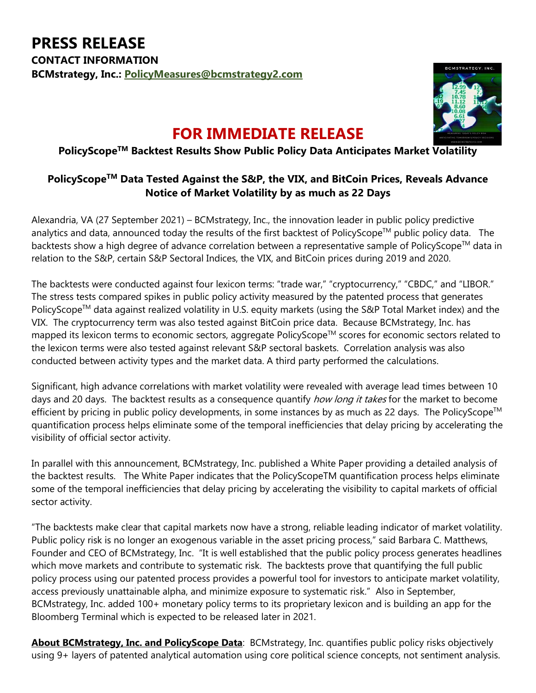

## **FOR IMMEDIATE RELEASE**

## **PolicyScopeTM Backtest Results Show Public Policy Data Anticipates Market Volatility**

## **PolicyScopeTM Data Tested Against the S&P, the VIX, and BitCoin Prices, Reveals Advance Notice of Market Volatility by as much as 22 Days**

Alexandria, VA (27 September 2021) – BCMstrategy, Inc., the innovation leader in public policy predictive analytics and data, announced today the results of the first backtest of PolicyScope™ public policy data. The backtests show a high degree of advance correlation between a representative sample of PolicyScope™ data in relation to the S&P, certain S&P Sectoral Indices, the VIX, and BitCoin prices during 2019 and 2020.

The backtests were conducted against four lexicon terms: "trade war," "cryptocurrency," "CBDC," and "LIBOR." The stress tests compared spikes in public policy activity measured by the patented process that generates PolicyScope™ data against realized volatility in U.S. equity markets (using the S&P Total Market index) and the VIX. The cryptocurrency term was also tested against BitCoin price data. Because BCMstrategy, Inc. has mapped its lexicon terms to economic sectors, aggregate PolicyScope™ scores for economic sectors related to the lexicon terms were also tested against relevant S&P sectoral baskets. Correlation analysis was also conducted between activity types and the market data. A third party performed the calculations.

Significant, high advance correlations with market volatility were revealed with average lead times between 10 days and 20 days. The backtest results as a consequence quantify how long it takes for the market to become efficient by pricing in public policy developments, in some instances by as much as 22 days. The PolicyScope<sup>™</sup> quantification process helps eliminate some of the temporal inefficiencies that delay pricing by accelerating the visibility of official sector activity.

In parallel with this announcement, BCMstrategy, Inc. published a White Paper providing a detailed analysis of the backtest results. The White Paper indicates that the PolicyScopeTM quantification process helps eliminate some of the temporal inefficiencies that delay pricing by accelerating the visibility to capital markets of official sector activity.

"The backtests make clear that capital markets now have a strong, reliable leading indicator of market volatility. Public policy risk is no longer an exogenous variable in the asset pricing process," said Barbara C. Matthews, Founder and CEO of BCMstrategy, Inc. "It is well established that the public policy process generates headlines which move markets and contribute to systematic risk. The backtests prove that quantifying the full public policy process using our patented process provides a powerful tool for investors to anticipate market volatility, access previously unattainable alpha, and minimize exposure to systematic risk." Also in September, BCMstrategy, Inc. added 100+ monetary policy terms to its proprietary lexicon and is building an app for the Bloomberg Terminal which is expected to be released later in 2021.

**About BCMstrategy, Inc. and PolicyScope Data**: BCMstrategy, Inc. quantifies public policy risks objectively using 9+ layers of patented analytical automation using core political science concepts, not sentiment analysis.